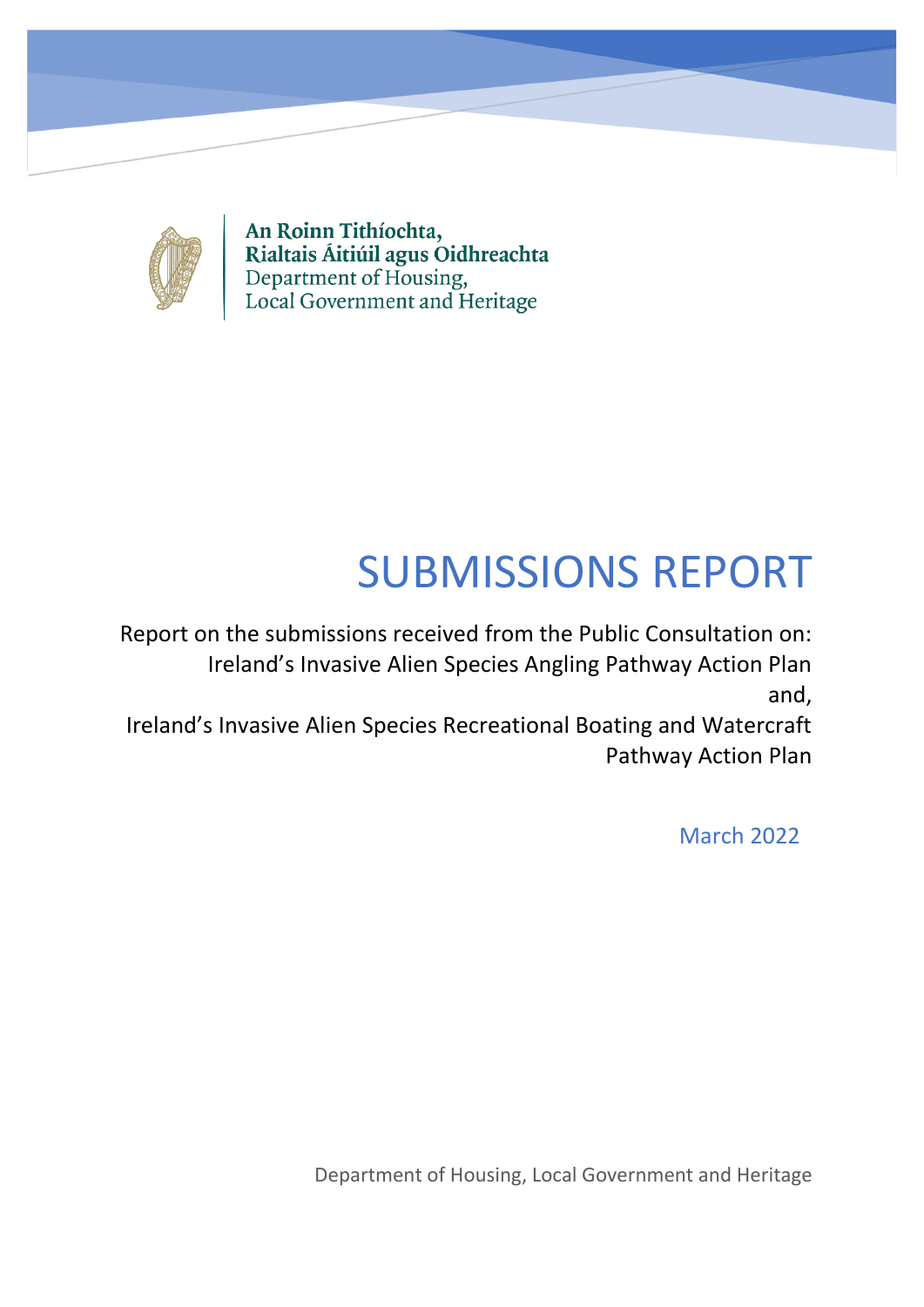

An Roinn Tithíochta, Rialtais Áitiúil agus Oidhreachta<br>Department of Housing,<br>Local Government and Heritage

# SUBMISSIONS REPORT

Report on the submissions received from the Public Consultation on: Ireland's Invasive Alien Species Angling Pathway Action Plan and,

Ireland's Invasive Alien Species Recreational Boating and Watercraft Pathway Action Plan

March 2022

Department of Housing, Local Government and Heritage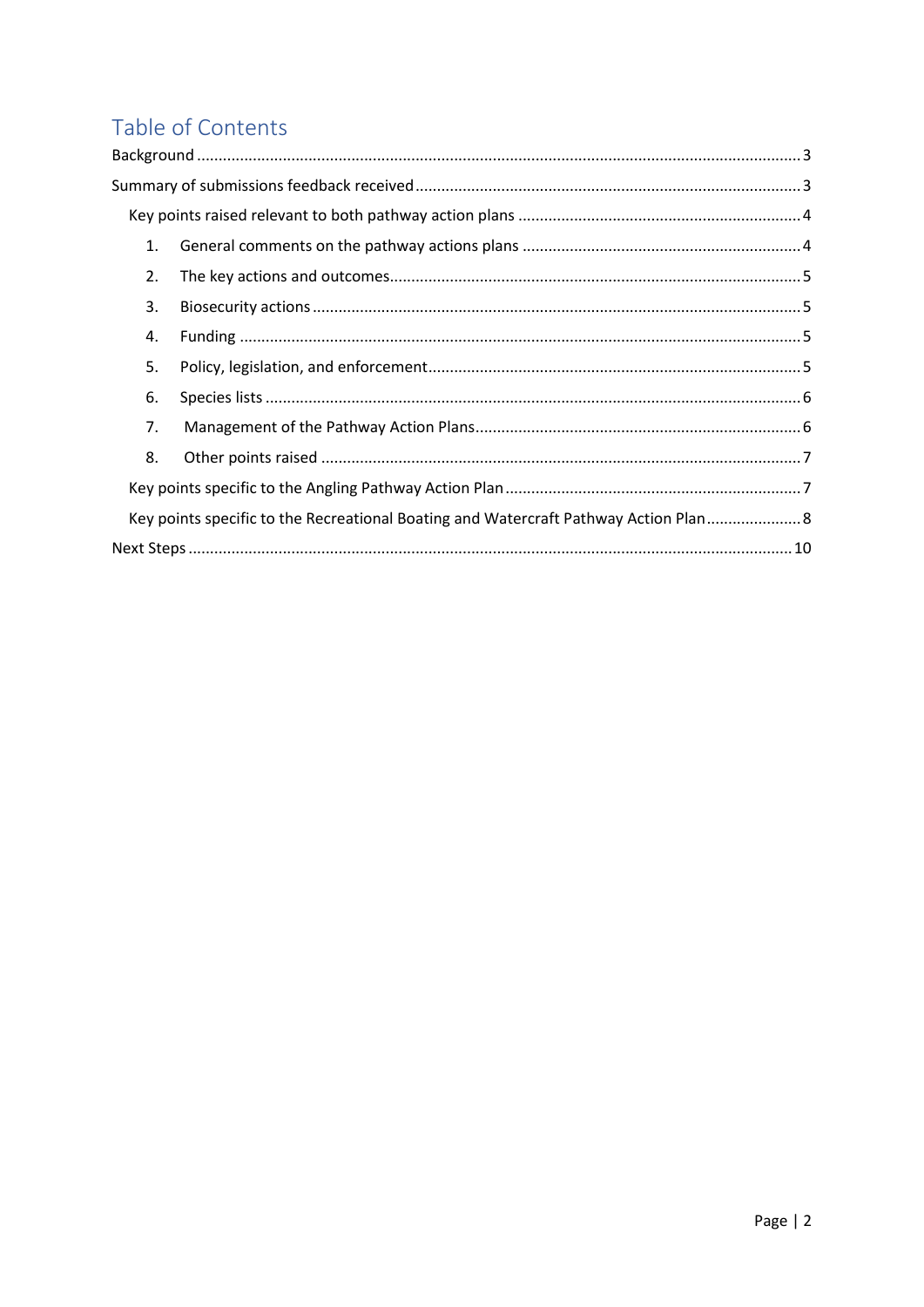# Table of Contents

| 1. |                                                                                      |  |
|----|--------------------------------------------------------------------------------------|--|
| 2. |                                                                                      |  |
| 3. |                                                                                      |  |
| 4. |                                                                                      |  |
| 5. |                                                                                      |  |
| 6. |                                                                                      |  |
| 7. |                                                                                      |  |
| 8. |                                                                                      |  |
|    |                                                                                      |  |
|    | Key points specific to the Recreational Boating and Watercraft Pathway Action Plan 8 |  |
|    |                                                                                      |  |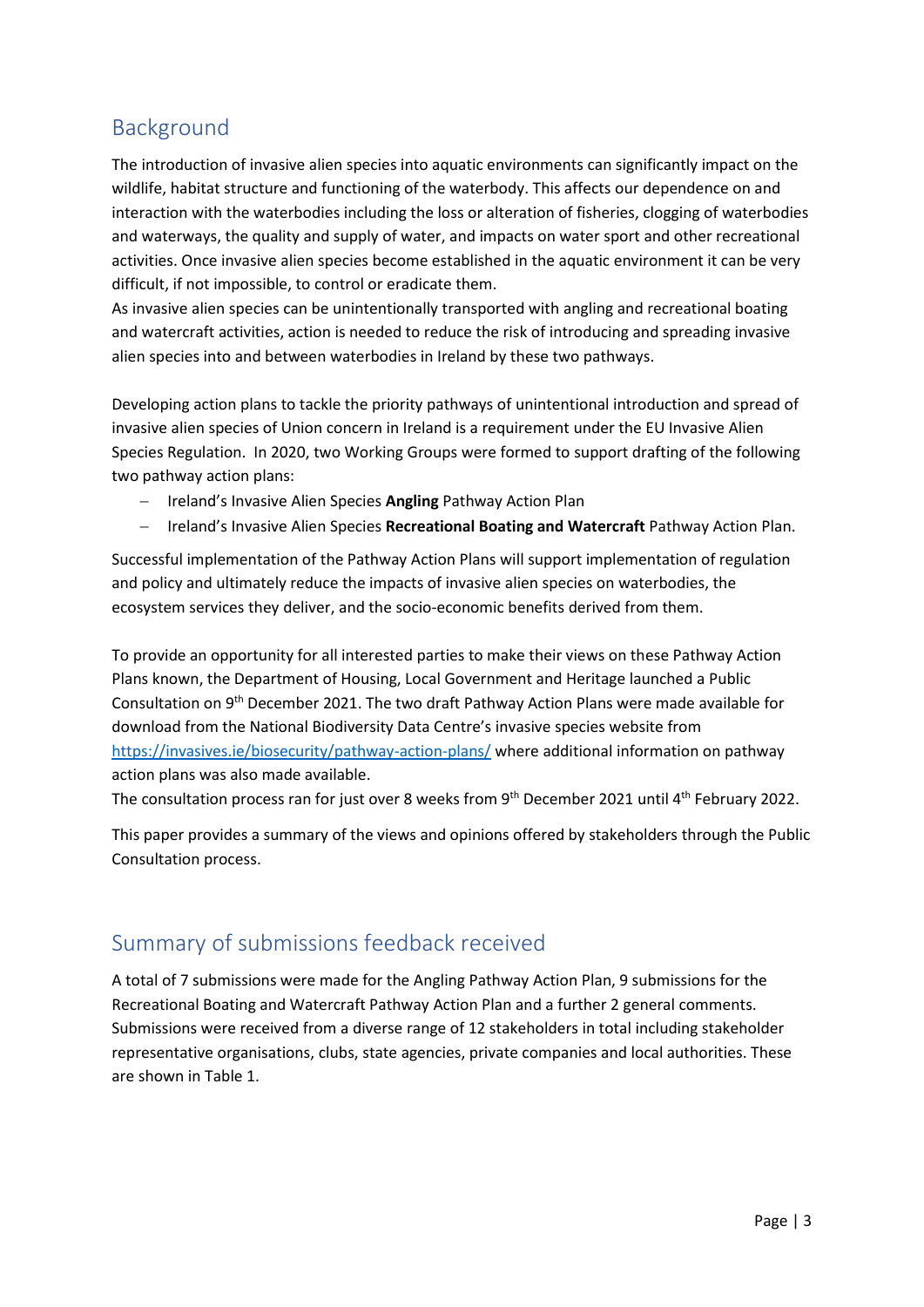## <span id="page-2-0"></span>Background

The introduction of invasive alien species into aquatic environments can significantly impact on the wildlife, habitat structure and functioning of the waterbody. This affects our dependence on and interaction with the waterbodies including the loss or alteration of fisheries, clogging of waterbodies and waterways, the quality and supply of water, and impacts on water sport and other recreational activities. Once invasive alien species become established in the aquatic environment it can be very difficult, if not impossible, to control or eradicate them.

As invasive alien species can be unintentionally transported with angling and recreational boating and watercraft activities, action is needed to reduce the risk of introducing and spreading invasive alien species into and between waterbodies in Ireland by these two pathways.

Developing action plans to tackle the priority pathways of unintentional introduction and spread of invasive alien species of Union concern in Ireland is a requirement under the EU Invasive Alien Species Regulation. In 2020, two Working Groups were formed to support drafting of the following two pathway action plans:

- − Ireland's Invasive Alien Species **Angling** Pathway Action Plan
- − Ireland's Invasive Alien Species **Recreational Boating and Watercraft** Pathway Action Plan.

Successful implementation of the Pathway Action Plans will support implementation of regulation and policy and ultimately reduce the impacts of invasive alien species on waterbodies, the ecosystem services they deliver, and the socio-economic benefits derived from them.

To provide an opportunity for all interested parties to make their views on these Pathway Action Plans known, the Department of Housing, Local Government and Heritage launched a Public Consultation on 9<sup>th</sup> December 2021. The two draft Pathway Action Plans were made available for download from the National Biodiversity Data Centre's invasive species website from <https://invasives.ie/biosecurity/pathway-action-plans/> where additional information on pathway action plans was also made available.

The consultation process ran for just over 8 weeks from 9<sup>th</sup> December 2021 until 4<sup>th</sup> February 2022.

This paper provides a summary of the views and opinions offered by stakeholders through the Public Consultation process.

## <span id="page-2-1"></span>Summary of submissions feedback received

A total of 7 submissions were made for the Angling Pathway Action Plan, 9 submissions for the Recreational Boating and Watercraft Pathway Action Plan and a further 2 general comments. Submissions were received from a diverse range of 12 stakeholders in total including stakeholder representative organisations, clubs, state agencies, private companies and local authorities. These are shown in Table 1.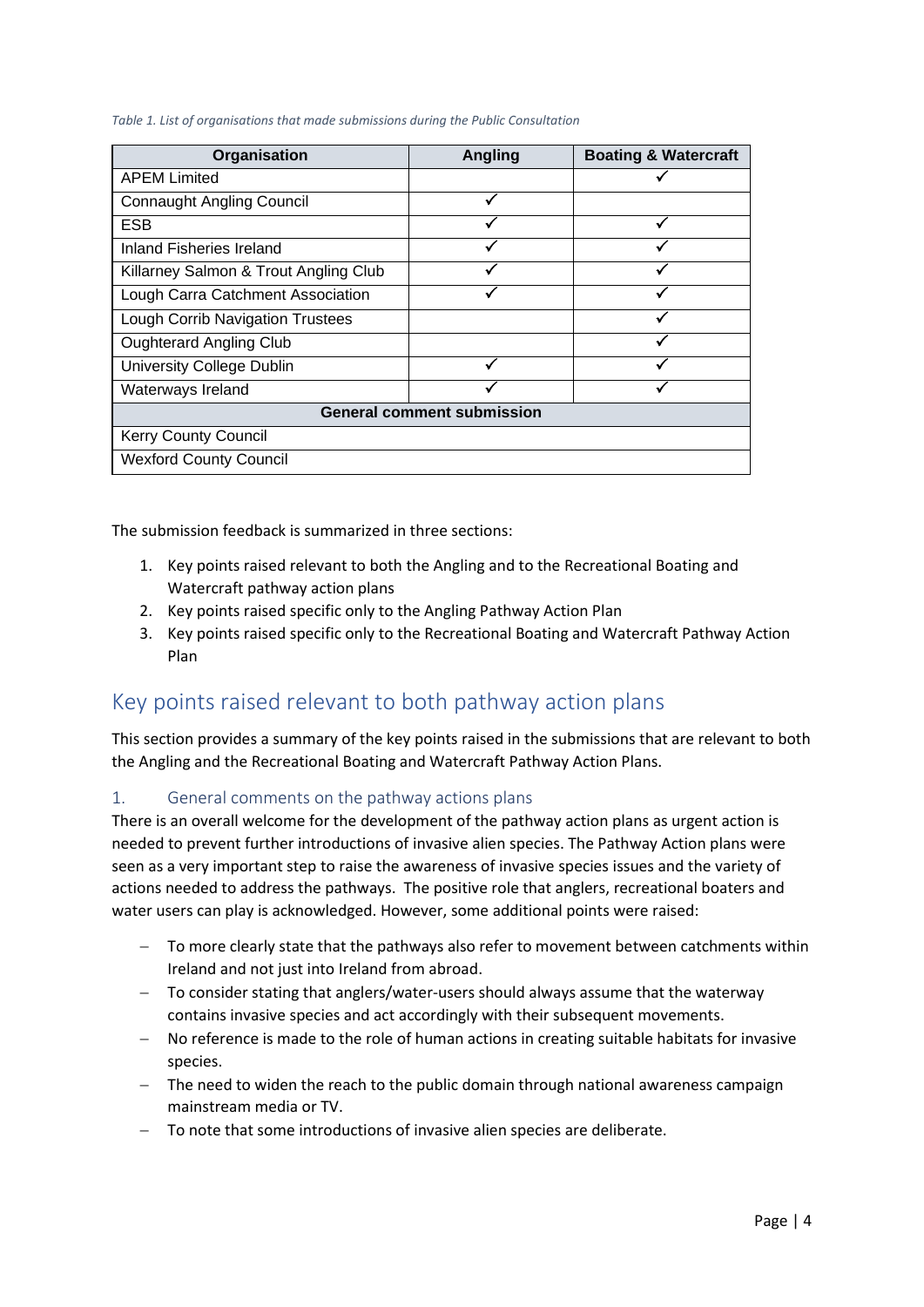*Table 1. List of organisations that made submissions during the Public Consultation*

| Organisation                            | <b>Angling</b> | <b>Boating &amp; Watercraft</b> |  |  |
|-----------------------------------------|----------------|---------------------------------|--|--|
| <b>APEM Limited</b>                     |                |                                 |  |  |
| <b>Connaught Angling Council</b>        |                |                                 |  |  |
| <b>ESB</b>                              |                |                                 |  |  |
| Inland Fisheries Ireland                |                |                                 |  |  |
| Killarney Salmon & Trout Angling Club   |                |                                 |  |  |
| Lough Carra Catchment Association       |                |                                 |  |  |
| <b>Lough Corrib Navigation Trustees</b> |                |                                 |  |  |
| <b>Oughterard Angling Club</b>          |                |                                 |  |  |
| <b>University College Dublin</b>        |                |                                 |  |  |
| Waterways Ireland                       |                |                                 |  |  |
| <b>General comment submission</b>       |                |                                 |  |  |
| <b>Kerry County Council</b>             |                |                                 |  |  |
| <b>Wexford County Council</b>           |                |                                 |  |  |

The submission feedback is summarized in three sections:

- 1. Key points raised relevant to both the Angling and to the Recreational Boating and Watercraft pathway action plans
- 2. Key points raised specific only to the Angling Pathway Action Plan
- 3. Key points raised specific only to the Recreational Boating and Watercraft Pathway Action Plan

## <span id="page-3-0"></span>Key points raised relevant to both pathway action plans

This section provides a summary of the key points raised in the submissions that are relevant to both the Angling and the Recreational Boating and Watercraft Pathway Action Plans.

#### <span id="page-3-1"></span>1. General comments on the pathway actions plans

There is an overall welcome for the development of the pathway action plans as urgent action is needed to prevent further introductions of invasive alien species. The Pathway Action plans were seen as a very important step to raise the awareness of invasive species issues and the variety of actions needed to address the pathways. The positive role that anglers, recreational boaters and water users can play is acknowledged. However, some additional points were raised:

- − To more clearly state that the pathways also refer to movement between catchments within Ireland and not just into Ireland from abroad.
- − To consider stating that anglers/water-users should always assume that the waterway contains invasive species and act accordingly with their subsequent movements.
- − No reference is made to the role of human actions in creating suitable habitats for invasive species.
- − The need to widen the reach to the public domain through national awareness campaign mainstream media or TV.
- − To note that some introductions of invasive alien species are deliberate.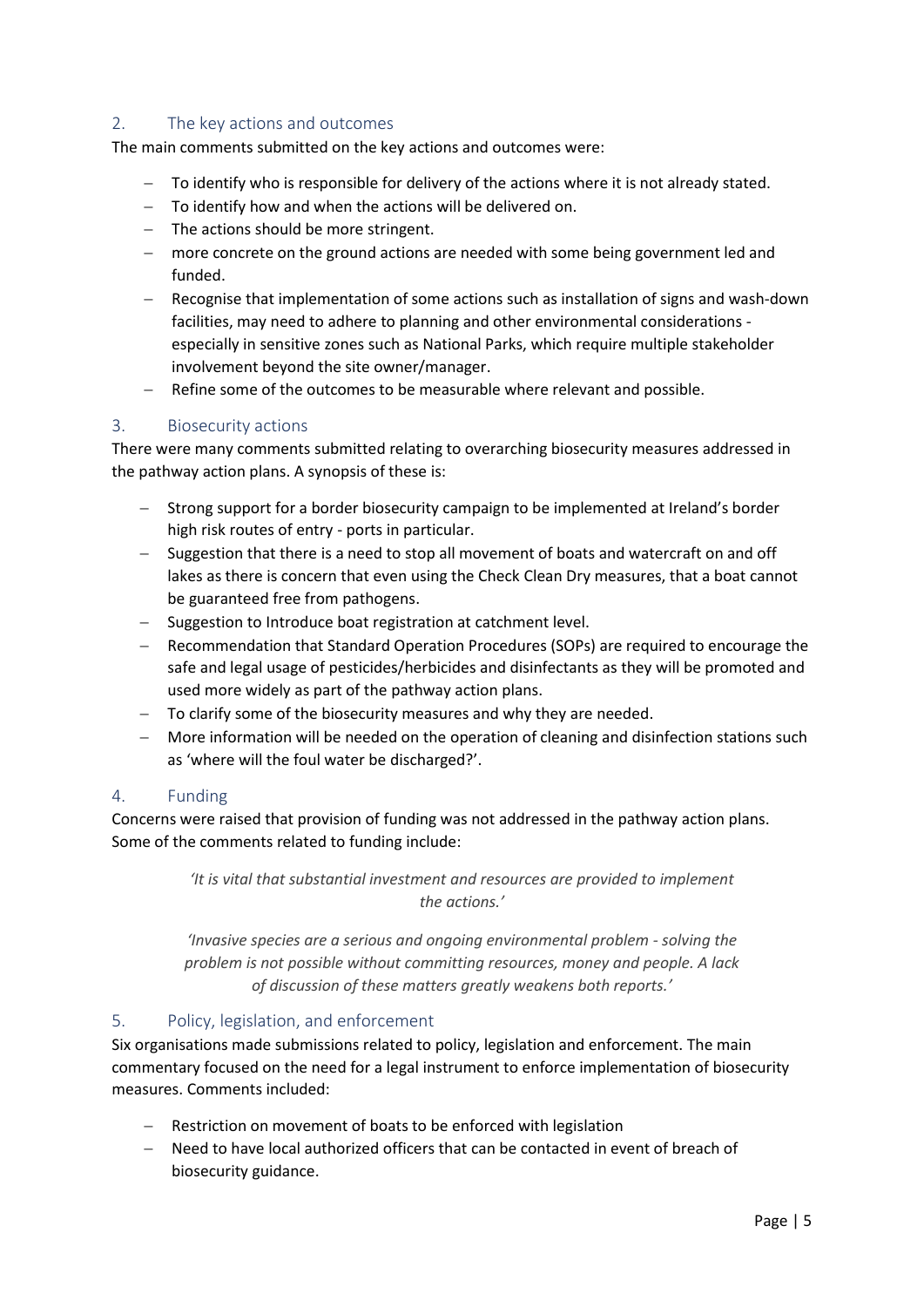#### <span id="page-4-0"></span>2. The key actions and outcomes

The main comments submitted on the key actions and outcomes were:

- − To identify who is responsible for delivery of the actions where it is not already stated.
- − To identify how and when the actions will be delivered on.
- − The actions should be more stringent.
- more concrete on the ground actions are needed with some being government led and funded.
- − Recognise that implementation of some actions such as installation of signs and wash-down facilities, may need to adhere to planning and other environmental considerations especially in sensitive zones such as National Parks, which require multiple stakeholder involvement beyond the site owner/manager.
- − Refine some of the outcomes to be measurable where relevant and possible.

#### <span id="page-4-1"></span>3. Biosecurity actions

There were many comments submitted relating to overarching biosecurity measures addressed in the pathway action plans. A synopsis of these is:

- − Strong support for a border biosecurity campaign to be implemented at Ireland's border high risk routes of entry - ports in particular.
- − Suggestion that there is a need to stop all movement of boats and watercraft on and off lakes as there is concern that even using the Check Clean Dry measures, that a boat cannot be guaranteed free from pathogens.
- − Suggestion to Introduce boat registration at catchment level.
- − Recommendation that Standard Operation Procedures (SOPs) are required to encourage the safe and legal usage of pesticides/herbicides and disinfectants as they will be promoted and used more widely as part of the pathway action plans.
- − To clarify some of the biosecurity measures and why they are needed.
- − More information will be needed on the operation of cleaning and disinfection stations such as 'where will the foul water be discharged?'.

#### <span id="page-4-2"></span>4. Funding

Concerns were raised that provision of funding was not addressed in the pathway action plans. Some of the comments related to funding include:

> *'It is vital that substantial investment and resources are provided to implement the actions.'*

*'Invasive species are a serious and ongoing environmental problem - solving the problem is not possible without committing resources, money and people. A lack of discussion of these matters greatly weakens both reports.'*

#### <span id="page-4-3"></span>5. Policy, legislation, and enforcement

Six organisations made submissions related to policy, legislation and enforcement. The main commentary focused on the need for a legal instrument to enforce implementation of biosecurity measures. Comments included:

- Restriction on movement of boats to be enforced with legislation
- Need to have local authorized officers that can be contacted in event of breach of biosecurity guidance.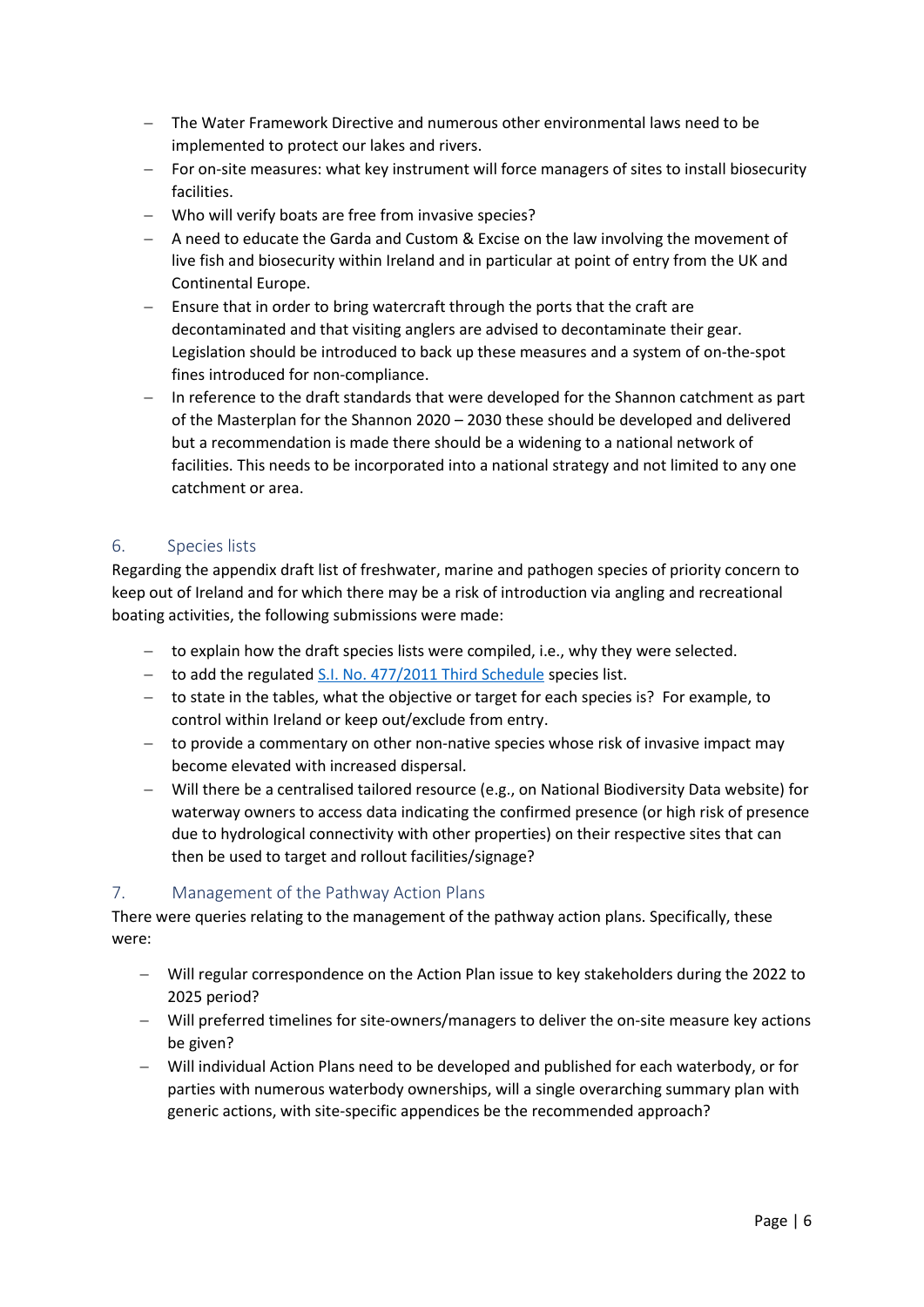- − The Water Framework Directive and numerous other environmental laws need to be implemented to protect our lakes and rivers.
- − For on-site measures: what key instrument will force managers of sites to install biosecurity facilities.
- − Who will verify boats are free from invasive species?
- − A need to educate the Garda and Custom & Excise on the law involving the movement of live fish and biosecurity within Ireland and in particular at point of entry from the UK and Continental Europe.
- − Ensure that in order to bring watercraft through the ports that the craft are decontaminated and that visiting anglers are advised to decontaminate their gear. Legislation should be introduced to back up these measures and a system of on-the-spot fines introduced for non-compliance.
- In reference to the draft standards that were developed for the Shannon catchment as part of the Masterplan for the Shannon 2020 – 2030 these should be developed and delivered but a recommendation is made there should be a widening to a national network of facilities. This needs to be incorporated into a national strategy and not limited to any one catchment or area.

#### <span id="page-5-0"></span>6. Species lists

Regarding the appendix draft list of freshwater, marine and pathogen species of priority concern to keep out of Ireland and for which there may be a risk of introduction via angling and recreational boating activities, the following submissions were made:

- − to explain how the draft species lists were compiled, i.e., why they were selected.
- − to add the regulated S.I. No. 477/2011 [Third Schedule](https://www.irishstatutebook.ie/eli/2011/si/477/made/en/print) species list.
- − to state in the tables, what the objective or target for each species is? For example, to control within Ireland or keep out/exclude from entry.
- − to provide a commentary on other non-native species whose risk of invasive impact may become elevated with increased dispersal.
- − Will there be a centralised tailored resource (e.g., on National Biodiversity Data website) for waterway owners to access data indicating the confirmed presence (or high risk of presence due to hydrological connectivity with other properties) on their respective sites that can then be used to target and rollout facilities/signage?

#### <span id="page-5-1"></span>7. Management of the Pathway Action Plans

There were queries relating to the management of the pathway action plans. Specifically, these were:

- − Will regular correspondence on the Action Plan issue to key stakeholders during the 2022 to 2025 period?
- − Will preferred timelines for site-owners/managers to deliver the on-site measure key actions be given?
- − Will individual Action Plans need to be developed and published for each waterbody, or for parties with numerous waterbody ownerships, will a single overarching summary plan with generic actions, with site-specific appendices be the recommended approach?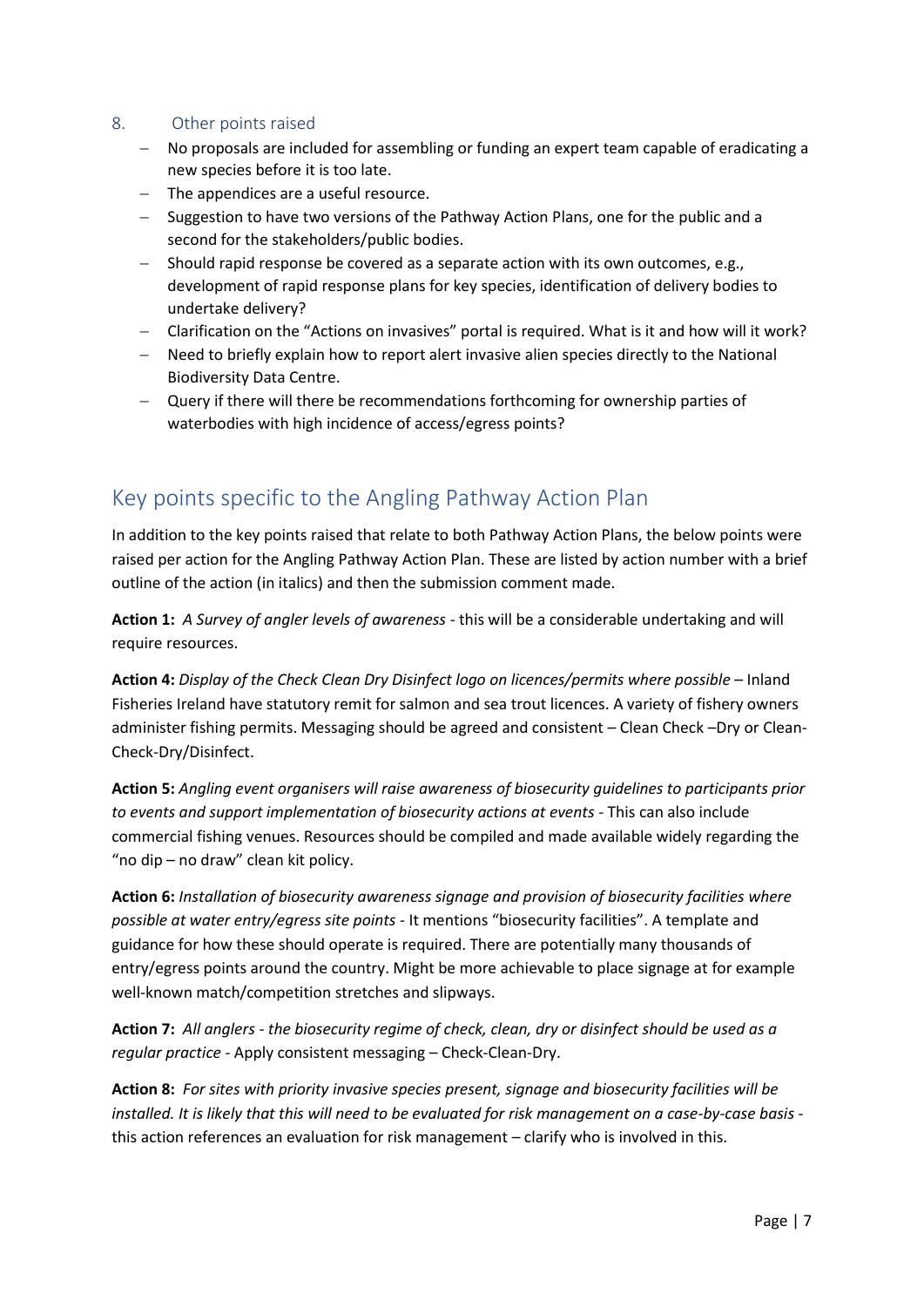#### <span id="page-6-0"></span>8. Other points raised

- − No proposals are included for assembling or funding an expert team capable of eradicating a new species before it is too late.
- − The appendices are a useful resource.
- − Suggestion to have two versions of the Pathway Action Plans, one for the public and a second for the stakeholders/public bodies.
- − Should rapid response be covered as a separate action with its own outcomes, e.g., development of rapid response plans for key species, identification of delivery bodies to undertake delivery?
- − Clarification on the "Actions on invasives" portal is required. What is it and how will it work?
- − Need to briefly explain how to report alert invasive alien species directly to the National Biodiversity Data Centre.
- − Query if there will there be recommendations forthcoming for ownership parties of waterbodies with high incidence of access/egress points?

## <span id="page-6-1"></span>Key points specific to the Angling Pathway Action Plan

In addition to the key points raised that relate to both Pathway Action Plans, the below points were raised per action for the Angling Pathway Action Plan. These are listed by action number with a brief outline of the action (in italics) and then the submission comment made.

**Action 1:** *A Survey of angler levels of awareness* - this will be a considerable undertaking and will require resources.

**Action 4:** *Display of the Check Clean Dry Disinfect logo on licences/permits where possible* – Inland Fisheries Ireland have statutory remit for salmon and sea trout licences. A variety of fishery owners administer fishing permits. Messaging should be agreed and consistent – Clean Check –Dry or Clean-Check-Dry/Disinfect.

**Action 5:** *Angling event organisers will raise awareness of biosecurity guidelines to participants prior to events and support implementation of biosecurity actions at events* - This can also include commercial fishing venues. Resources should be compiled and made available widely regarding the "no dip – no draw" clean kit policy.

**Action 6:** *Installation of biosecurity awareness signage and provision of biosecurity facilities where possible at water entry/egress site points* - It mentions "biosecurity facilities". A template and guidance for how these should operate is required. There are potentially many thousands of entry/egress points around the country. Might be more achievable to place signage at for example well-known match/competition stretches and slipways.

**Action 7:** *All anglers - the biosecurity regime of check, clean, dry or disinfect should be used as a regular practice* - Apply consistent messaging – Check-Clean-Dry.

**Action 8:** *For sites with priority invasive species present, signage and biosecurity facilities will be installed. It is likely that this will need to be evaluated for risk management on a case-by-case basis* this action references an evaluation for risk management – clarify who is involved in this.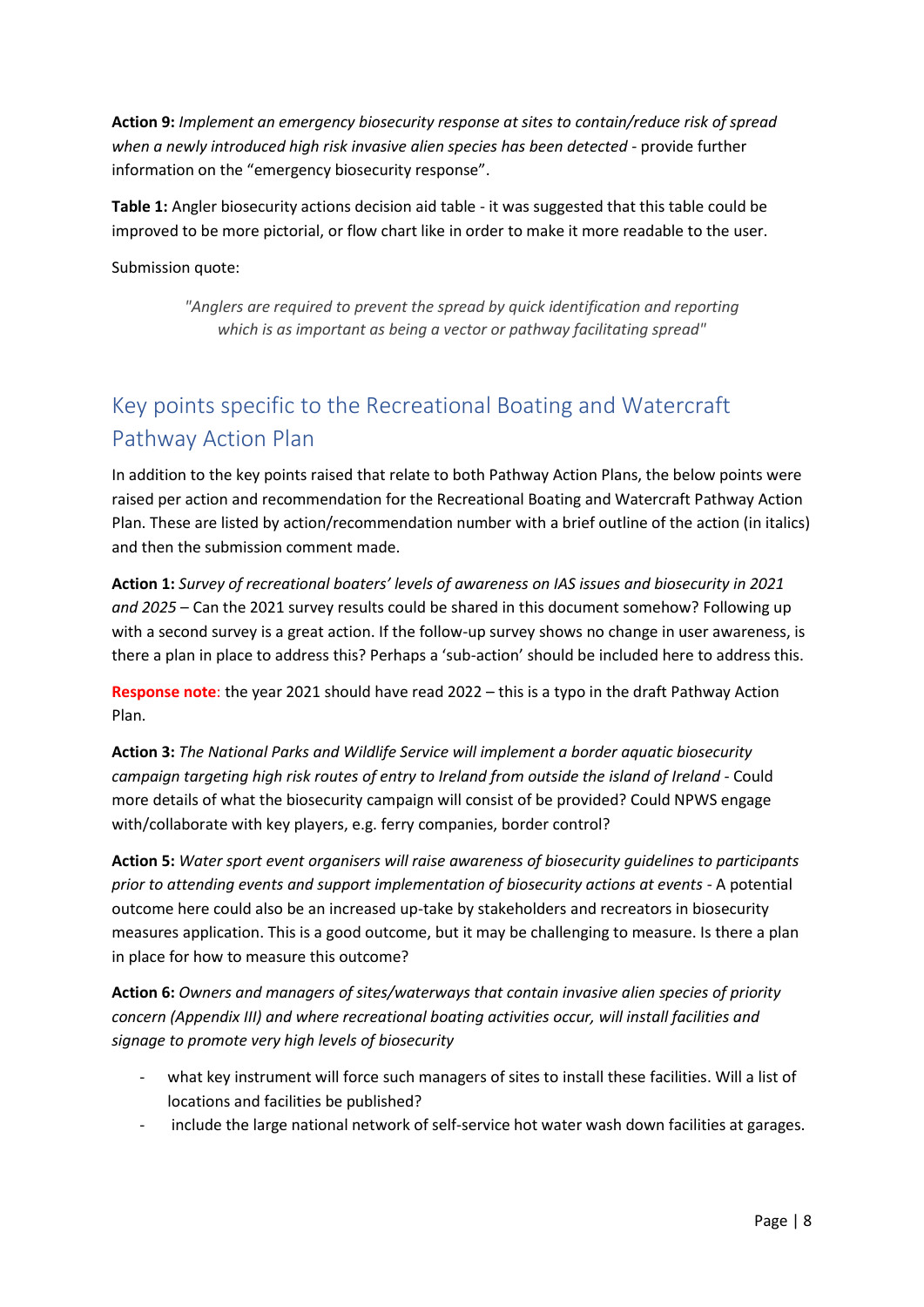**Action 9:** *Implement an emergency biosecurity response at sites to contain/reduce risk of spread when a newly introduced high risk invasive alien species has been detected* - provide further information on the "emergency biosecurity response".

**Table 1:** Angler biosecurity actions decision aid table - it was suggested that this table could be improved to be more pictorial, or flow chart like in order to make it more readable to the user.

Submission quote:

*"Anglers are required to prevent the spread by quick identification and reporting which is as important as being a vector or pathway facilitating spread"*

## <span id="page-7-0"></span>Key points specific to the Recreational Boating and Watercraft Pathway Action Plan

In addition to the key points raised that relate to both Pathway Action Plans, the below points were raised per action and recommendation for the Recreational Boating and Watercraft Pathway Action Plan. These are listed by action/recommendation number with a brief outline of the action (in italics) and then the submission comment made.

**Action 1:** *Survey of recreational boaters' levels of awareness on IAS issues and biosecurity in 2021 and 2025* – Can the 2021 survey results could be shared in this document somehow? Following up with a second survey is a great action. If the follow-up survey shows no change in user awareness, is there a plan in place to address this? Perhaps a 'sub-action' should be included here to address this.

**Response note**: the year 2021 should have read 2022 – this is a typo in the draft Pathway Action Plan.

**Action 3:** *The National Parks and Wildlife Service will implement a border aquatic biosecurity campaign targeting high risk routes of entry to Ireland from outside the island of Ireland -* Could more details of what the biosecurity campaign will consist of be provided? Could NPWS engage with/collaborate with key players, e.g. ferry companies, border control?

**Action 5:** *Water sport event organisers will raise awareness of biosecurity guidelines to participants prior to attending events and support implementation of biosecurity actions at events* - A potential outcome here could also be an increased up-take by stakeholders and recreators in biosecurity measures application. This is a good outcome, but it may be challenging to measure. Is there a plan in place for how to measure this outcome?

**Action 6:** *Owners and managers of sites/waterways that contain invasive alien species of priority concern (Appendix III) and where recreational boating activities occur, will install facilities and signage to promote very high levels of biosecurity*

- what key instrument will force such managers of sites to install these facilities. Will a list of locations and facilities be published?
- include the large national network of self-service hot water wash down facilities at garages.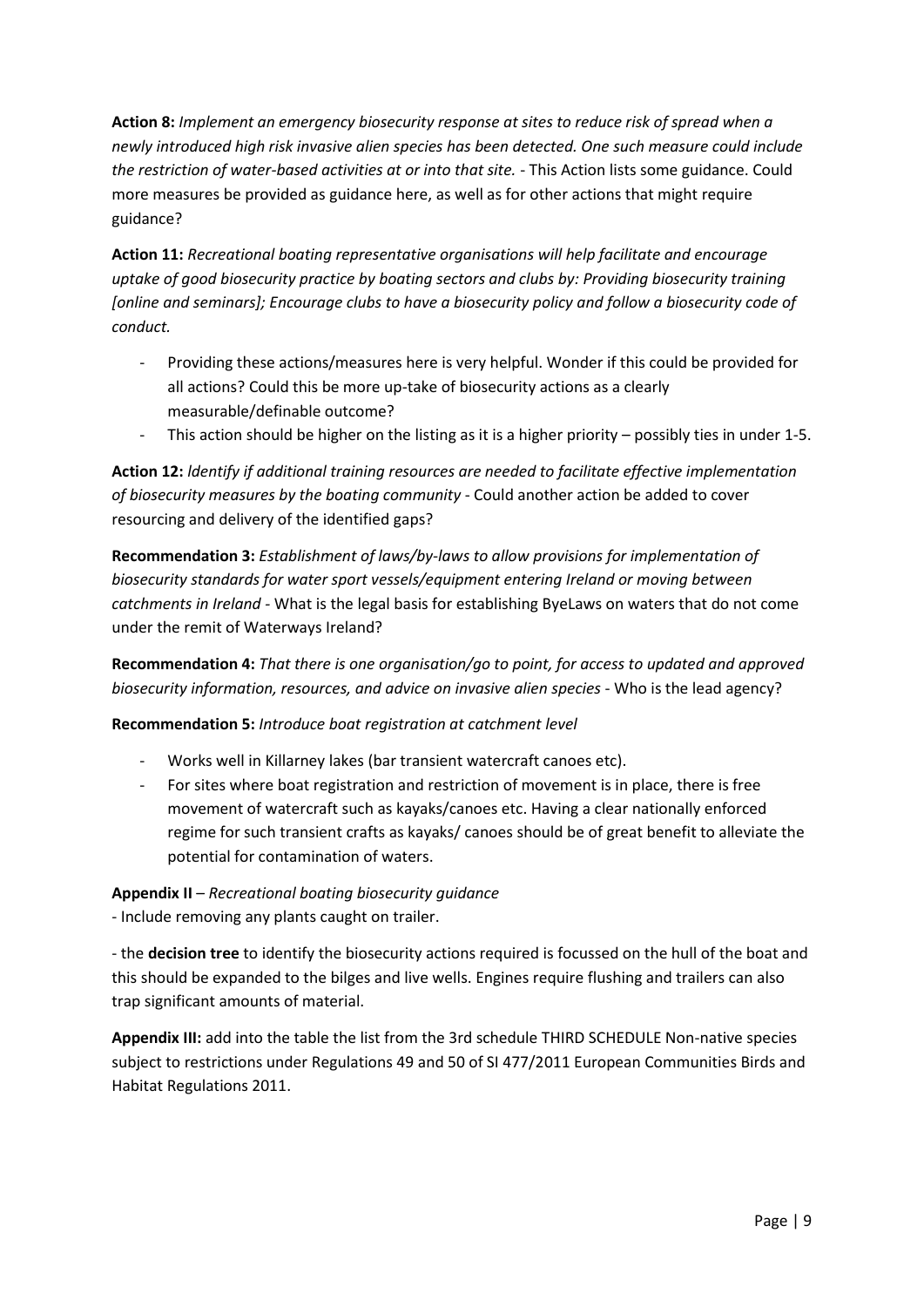**Action 8:** *Implement an emergency biosecurity response at sites to reduce risk of spread when a newly introduced high risk invasive alien species has been detected. One such measure could include the restriction of water-based activities at or into that site.* - This Action lists some guidance. Could more measures be provided as guidance here, as well as for other actions that might require guidance?

**Action 11:** *Recreational boating representative organisations will help facilitate and encourage uptake of good biosecurity practice by boating sectors and clubs by: Providing biosecurity training [online and seminars]; Encourage clubs to have a biosecurity policy and follow a biosecurity code of conduct.*

- Providing these actions/measures here is very helpful. Wonder if this could be provided for all actions? Could this be more up-take of biosecurity actions as a clearly measurable/definable outcome?
- This action should be higher on the listing as it is a higher priority possibly ties in under 1-5.

**Action 12:** *ldentify if additional training resources are needed to facilitate effective implementation of biosecurity measures by the boating community* - Could another action be added to cover resourcing and delivery of the identified gaps?

**Recommendation 3:** *Establishment of laws/by-laws to allow provisions for implementation of biosecurity standards for water sport vessels/equipment entering Ireland or moving between catchments in Ireland -* What is the legal basis for establishing ByeLaws on waters that do not come under the remit of Waterways Ireland?

**Recommendation 4:** *That there is one organisation/go to point, for access to updated and approved biosecurity information, resources, and advice on invasive alien species - Who is the lead agency?* 

**Recommendation 5:** *Introduce boat registration at catchment level*

- Works well in Killarney lakes (bar transient watercraft canoes etc).
- For sites where boat registration and restriction of movement is in place, there is free movement of watercraft such as kayaks/canoes etc. Having a clear nationally enforced regime for such transient crafts as kayaks/ canoes should be of great benefit to alleviate the potential for contamination of waters.

#### **Appendix II** – *Recreational boating biosecurity guidance*

- Include removing any plants caught on trailer.

- the **decision tree** to identify the biosecurity actions required is focussed on the hull of the boat and this should be expanded to the bilges and live wells. Engines require flushing and trailers can also trap significant amounts of material.

**Appendix III:** add into the table the list from the 3rd schedule THIRD SCHEDULE Non-native species subject to restrictions under Regulations 49 and 50 of SI 477/2011 European Communities Birds and Habitat Regulations 2011.